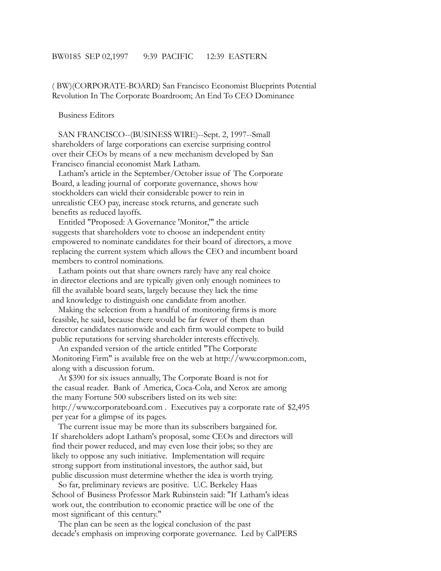( BW)(CORPORATE-BOARD) San Francisco Economist Blueprints Potential Revolution In The Corporate Boardroom; An End To CEO Dominance

Business Editors

 SAN FRANCISCO--(BUSINESS WIRE)--Sept. 2, 1997--Small shareholders of large corporations can exercise surprising control over their CEOs by means of a new mechanism developed by San Francisco financial economist Mark Latham.

 Latham's article in the September/October issue of The Corporate Board, a leading journal of corporate governance, shows how stockholders can wield their considerable power to rein in unrealistic CEO pay, increase stock returns, and generate such benefits as reduced layoffs.

 Entitled "Proposed: A Governance 'Monitor,'" the article suggests that shareholders vote to choose an independent entity empowered to nominate candidates for their board of directors, a move replacing the current system which allows the CEO and incumbent board members to control nominations.

 Latham points out that share owners rarely have any real choice in director elections and are typically given only enough nominees to fill the available board seats, largely because they lack the time and knowledge to distinguish one candidate from another.

 Making the selection from a handful of monitoring firms is more feasible, he said, because there would be far fewer of them than director candidates nationwide and each firm would compete to build public reputations for serving shareholder interests effectively.

 An expanded version of the article entitled "The Corporate Monitoring Firm" is available free on the web at http://www.corpmon.com, along with a discussion forum.

 At \$390 for six issues annually, The Corporate Board is not for the casual reader. Bank of America, Coca-Cola, and Xerox are among the many Fortune 500 subscribers listed on its web site: http://www.corporateboard.com . Executives pay a corporate rate of \$2,495 per year for a glimpse of its pages.

 The current issue may be more than its subscribers bargained for. If shareholders adopt Latham's proposal, some CEOs and directors will find their power reduced, and may even lose their jobs; so they are likely to oppose any such initiative. Implementation will require strong support from institutional investors, the author said, but public discussion must determine whether the idea is worth trying.

 So far, preliminary reviews are positive. U.C. Berkeley Haas School of Business Professor Mark Rubinstein said: "If Latham's ideas work out, the contribution to economic practice will be one of the most significant of this century."

 The plan can be seen as the logical conclusion of the past decade's emphasis on improving corporate governance. Led by CalPERS